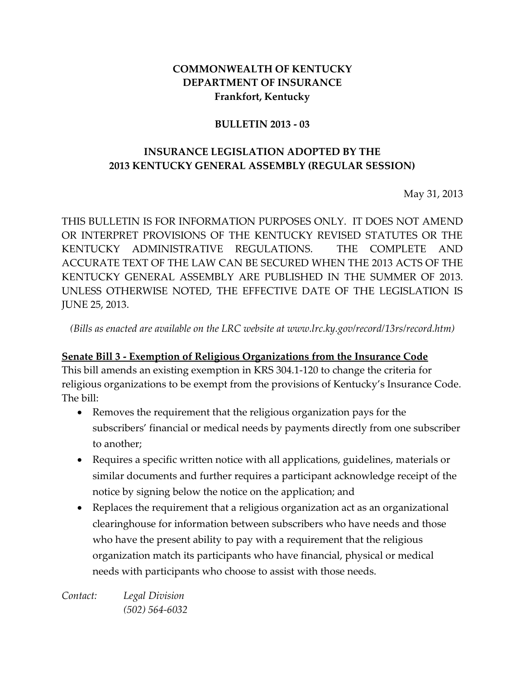#### **COMMONWEALTH OF KENTUCKY DEPARTMENT OF INSURANCE Frankfort, Kentucky**

#### **BULLETIN 2013 - 03**

### **INSURANCE LEGISLATION ADOPTED BY THE 2013 KENTUCKY GENERAL ASSEMBLY (REGULAR SESSION)**

May 31, 2013

THIS BULLETIN IS FOR INFORMATION PURPOSES ONLY. IT DOES NOT AMEND OR INTERPRET PROVISIONS OF THE KENTUCKY REVISED STATUTES OR THE KENTUCKY ADMINISTRATIVE REGULATIONS. THE COMPLETE AND ACCURATE TEXT OF THE LAW CAN BE SECURED WHEN THE 2013 ACTS OF THE KENTUCKY GENERAL ASSEMBLY ARE PUBLISHED IN THE SUMMER OF 2013. UNLESS OTHERWISE NOTED, THE EFFECTIVE DATE OF THE LEGISLATION IS JUNE 25, 2013.

*(Bills as enacted are available on the LRC website at www.lrc.ky.gov/record/13rs/record.htm)*

#### **Senate Bill 3 - Exemption of Religious Organizations from the Insurance Code**

This bill amends an existing exemption in KRS 304.1-120 to change the criteria for religious organizations to be exempt from the provisions of Kentucky's Insurance Code. The bill:

- Removes the requirement that the religious organization pays for the subscribers' financial or medical needs by payments directly from one subscriber to another;
- Requires a specific written notice with all applications, guidelines, materials or similar documents and further requires a participant acknowledge receipt of the notice by signing below the notice on the application; and
- Replaces the requirement that a religious organization act as an organizational clearinghouse for information between subscribers who have needs and those who have the present ability to pay with a requirement that the religious organization match its participants who have financial, physical or medical needs with participants who choose to assist with those needs.

*Contact: Legal Division (502) 564-6032*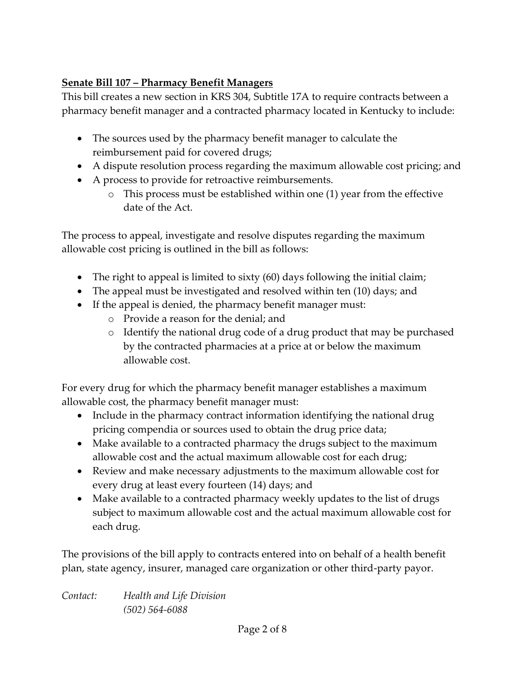# **Senate Bill 107 – Pharmacy Benefit Managers**

This bill creates a new section in KRS 304, Subtitle 17A to require contracts between a pharmacy benefit manager and a contracted pharmacy located in Kentucky to include:

- The sources used by the pharmacy benefit manager to calculate the reimbursement paid for covered drugs;
- A dispute resolution process regarding the maximum allowable cost pricing; and
- A process to provide for retroactive reimbursements.
	- o This process must be established within one (1) year from the effective date of the Act.

The process to appeal, investigate and resolve disputes regarding the maximum allowable cost pricing is outlined in the bill as follows:

- The right to appeal is limited to sixty (60) days following the initial claim;
- The appeal must be investigated and resolved within ten (10) days; and
- If the appeal is denied, the pharmacy benefit manager must:
	- o Provide a reason for the denial; and
	- o Identify the national drug code of a drug product that may be purchased by the contracted pharmacies at a price at or below the maximum allowable cost.

For every drug for which the pharmacy benefit manager establishes a maximum allowable cost, the pharmacy benefit manager must:

- Include in the pharmacy contract information identifying the national drug pricing compendia or sources used to obtain the drug price data;
- Make available to a contracted pharmacy the drugs subject to the maximum allowable cost and the actual maximum allowable cost for each drug;
- Review and make necessary adjustments to the maximum allowable cost for every drug at least every fourteen (14) days; and
- Make available to a contracted pharmacy weekly updates to the list of drugs subject to maximum allowable cost and the actual maximum allowable cost for each drug.

The provisions of the bill apply to contracts entered into on behalf of a health benefit plan, state agency, insurer, managed care organization or other third-party payor.

| Contact: | Health and Life Division |
|----------|--------------------------|
|          | $(502) 564 - 6088$       |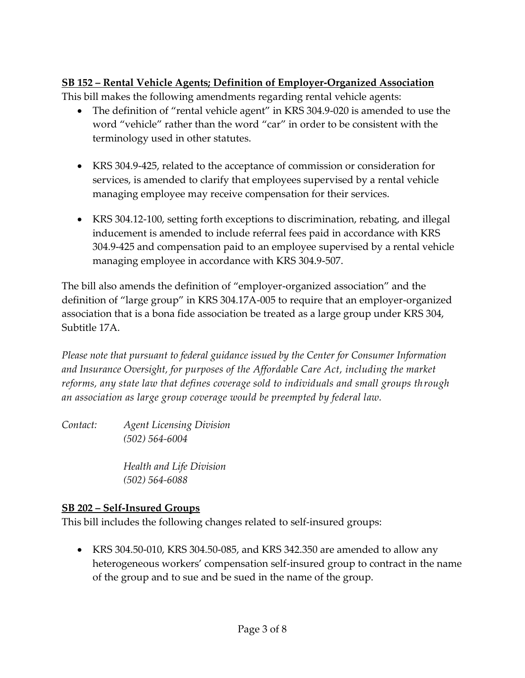## **SB 152 – Rental Vehicle Agents; Definition of Employer-Organized Association**

This bill makes the following amendments regarding rental vehicle agents:

- The definition of "rental vehicle agent" in KRS 304.9-020 is amended to use the word "vehicle" rather than the word "car" in order to be consistent with the terminology used in other statutes.
- KRS 304.9-425, related to the acceptance of commission or consideration for services, is amended to clarify that employees supervised by a rental vehicle managing employee may receive compensation for their services.
- KRS 304.12-100, setting forth exceptions to discrimination, rebating, and illegal inducement is amended to include referral fees paid in accordance with KRS 304.9-425 and compensation paid to an employee supervised by a rental vehicle managing employee in accordance with KRS 304.9-507.

The bill also amends the definition of "employer-organized association" and the definition of "large group" in KRS 304.17A-005 to require that an employer-organized association that is a bona fide association be treated as a large group under KRS 304, Subtitle 17A.

*Please note that pursuant to federal guidance issued by the Center for Consumer Information and Insurance Oversight, for purposes of the Affordable Care Act, including the market reforms, any state law that defines coverage sold to individuals and small groups through an association as large group coverage would be preempted by federal law.*

*Contact: Agent Licensing Division (502) 564-6004*

> *Health and Life Division (502) 564-6088*

### **SB 202 – Self-Insured Groups**

This bill includes the following changes related to self-insured groups:

 KRS 304.50-010, KRS 304.50-085, and KRS 342.350 are amended to allow any heterogeneous workers' compensation self-insured group to contract in the name of the group and to sue and be sued in the name of the group.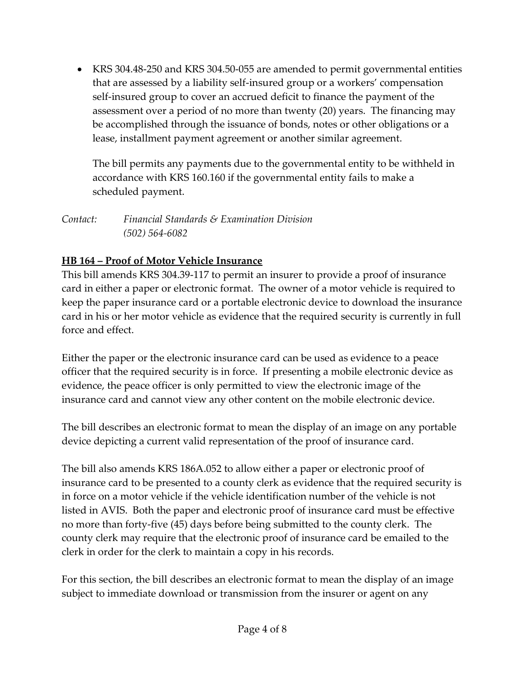KRS 304.48-250 and KRS 304.50-055 are amended to permit governmental entities that are assessed by a liability self-insured group or a workers' compensation self-insured group to cover an accrued deficit to finance the payment of the assessment over a period of no more than twenty (20) years. The financing may be accomplished through the issuance of bonds, notes or other obligations or a lease, installment payment agreement or another similar agreement.

The bill permits any payments due to the governmental entity to be withheld in accordance with KRS 160.160 if the governmental entity fails to make a scheduled payment.

*Contact: Financial Standards & Examination Division (502) 564-6082*

## **HB 164 – Proof of Motor Vehicle Insurance**

This bill amends KRS 304.39-117 to permit an insurer to provide a proof of insurance card in either a paper or electronic format. The owner of a motor vehicle is required to keep the paper insurance card or a portable electronic device to download the insurance card in his or her motor vehicle as evidence that the required security is currently in full force and effect.

Either the paper or the electronic insurance card can be used as evidence to a peace officer that the required security is in force. If presenting a mobile electronic device as evidence, the peace officer is only permitted to view the electronic image of the insurance card and cannot view any other content on the mobile electronic device.

The bill describes an electronic format to mean the display of an image on any portable device depicting a current valid representation of the proof of insurance card.

The bill also amends KRS 186A.052 to allow either a paper or electronic proof of insurance card to be presented to a county clerk as evidence that the required security is in force on a motor vehicle if the vehicle identification number of the vehicle is not listed in AVIS. Both the paper and electronic proof of insurance card must be effective no more than forty-five (45) days before being submitted to the county clerk. The county clerk may require that the electronic proof of insurance card be emailed to the clerk in order for the clerk to maintain a copy in his records.

For this section, the bill describes an electronic format to mean the display of an image subject to immediate download or transmission from the insurer or agent on any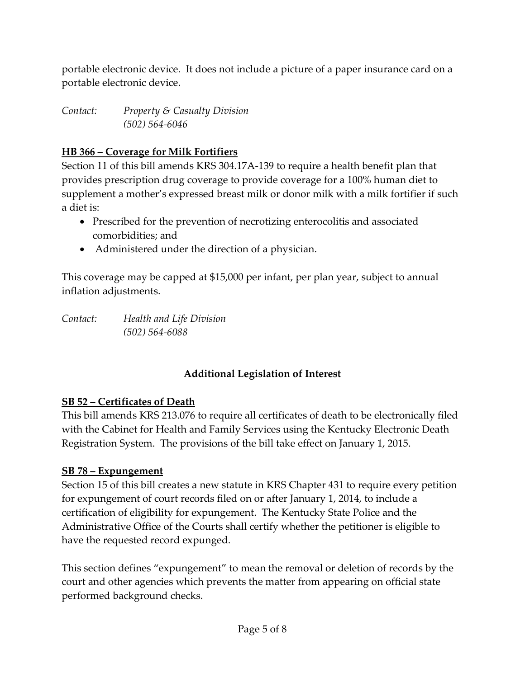portable electronic device. It does not include a picture of a paper insurance card on a portable electronic device.

*Contact: Property & Casualty Division (502) 564-6046*

### **HB 366 – Coverage for Milk Fortifiers**

Section 11 of this bill amends KRS 304.17A-139 to require a health benefit plan that provides prescription drug coverage to provide coverage for a 100% human diet to supplement a mother's expressed breast milk or donor milk with a milk fortifier if such a diet is:

- Prescribed for the prevention of necrotizing enterocolitis and associated comorbidities; and
- Administered under the direction of a physician.

This coverage may be capped at \$15,000 per infant, per plan year, subject to annual inflation adjustments.

*Contact: Health and Life Division (502) 564-6088*

# **Additional Legislation of Interest**

### **SB 52 – Certificates of Death**

This bill amends KRS 213.076 to require all certificates of death to be electronically filed with the Cabinet for Health and Family Services using the Kentucky Electronic Death Registration System. The provisions of the bill take effect on January 1, 2015.

### **SB 78 – Expungement**

Section 15 of this bill creates a new statute in KRS Chapter 431 to require every petition for expungement of court records filed on or after January 1, 2014, to include a certification of eligibility for expungement. The Kentucky State Police and the Administrative Office of the Courts shall certify whether the petitioner is eligible to have the requested record expunged.

This section defines "expungement" to mean the removal or deletion of records by the court and other agencies which prevents the matter from appearing on official state performed background checks.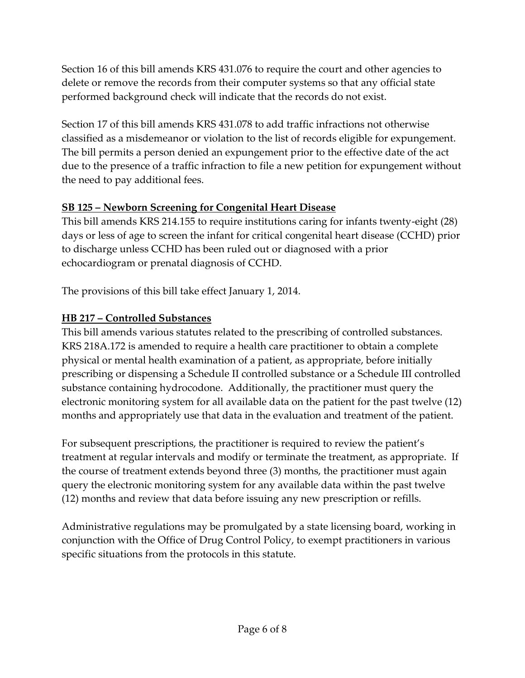Section 16 of this bill amends KRS 431.076 to require the court and other agencies to delete or remove the records from their computer systems so that any official state performed background check will indicate that the records do not exist.

Section 17 of this bill amends KRS 431.078 to add traffic infractions not otherwise classified as a misdemeanor or violation to the list of records eligible for expungement. The bill permits a person denied an expungement prior to the effective date of the act due to the presence of a traffic infraction to file a new petition for expungement without the need to pay additional fees.

## **SB 125 – Newborn Screening for Congenital Heart Disease**

This bill amends KRS 214.155 to require institutions caring for infants twenty-eight (28) days or less of age to screen the infant for critical congenital heart disease (CCHD) prior to discharge unless CCHD has been ruled out or diagnosed with a prior echocardiogram or prenatal diagnosis of CCHD.

The provisions of this bill take effect January 1, 2014.

## **HB 217 – Controlled Substances**

This bill amends various statutes related to the prescribing of controlled substances. KRS 218A.172 is amended to require a health care practitioner to obtain a complete physical or mental health examination of a patient, as appropriate, before initially prescribing or dispensing a Schedule II controlled substance or a Schedule III controlled substance containing hydrocodone. Additionally, the practitioner must query the electronic monitoring system for all available data on the patient for the past twelve (12) months and appropriately use that data in the evaluation and treatment of the patient.

For subsequent prescriptions, the practitioner is required to review the patient's treatment at regular intervals and modify or terminate the treatment, as appropriate. If the course of treatment extends beyond three (3) months, the practitioner must again query the electronic monitoring system for any available data within the past twelve (12) months and review that data before issuing any new prescription or refills.

Administrative regulations may be promulgated by a state licensing board, working in conjunction with the Office of Drug Control Policy, to exempt practitioners in various specific situations from the protocols in this statute.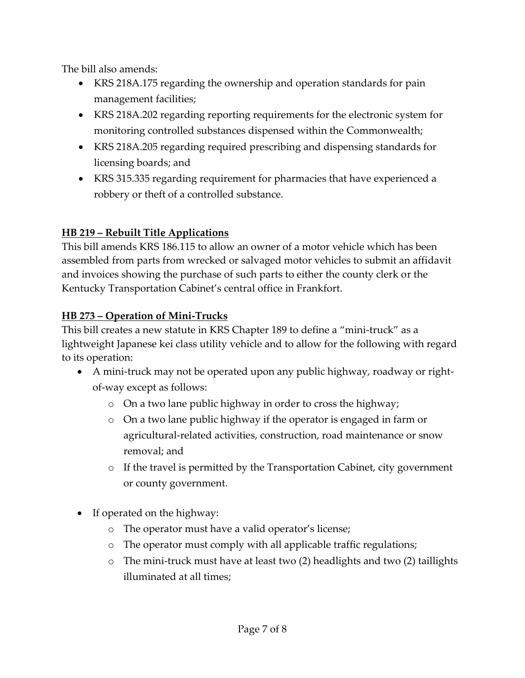The bill also amends:

- KRS 218A.175 regarding the ownership and operation standards for pain management facilities;
- KRS 218A.202 regarding reporting requirements for the electronic system for monitoring controlled substances dispensed within the Commonwealth;
- KRS 218A.205 regarding required prescribing and dispensing standards for licensing boards; and
- KRS 315.335 regarding requirement for pharmacies that have experienced a robbery or theft of a controlled substance.

### **HB 219 – Rebuilt Title Applications**

This bill amends KRS 186.115 to allow an owner of a motor vehicle which has been assembled from parts from wrecked or salvaged motor vehicles to submit an affidavit and invoices showing the purchase of such parts to either the county clerk or the Kentucky Transportation Cabinet's central office in Frankfort.

## **HB 273 – Operation of Mini-Trucks**

This bill creates a new statute in KRS Chapter 189 to define a "mini-truck" as a lightweight Japanese kei class utility vehicle and to allow for the following with regard to its operation:

- A mini-truck may not be operated upon any public highway, roadway or rightof-way except as follows:
	- o On a two lane public highway in order to cross the highway;
	- o On a two lane public highway if the operator is engaged in farm or agricultural-related activities, construction, road maintenance or snow removal; and
	- o If the travel is permitted by the Transportation Cabinet, city government or county government.
- If operated on the highway:
	- o The operator must have a valid operator's license;
	- o The operator must comply with all applicable traffic regulations;
	- o The mini-truck must have at least two (2) headlights and two (2) taillights illuminated at all times;